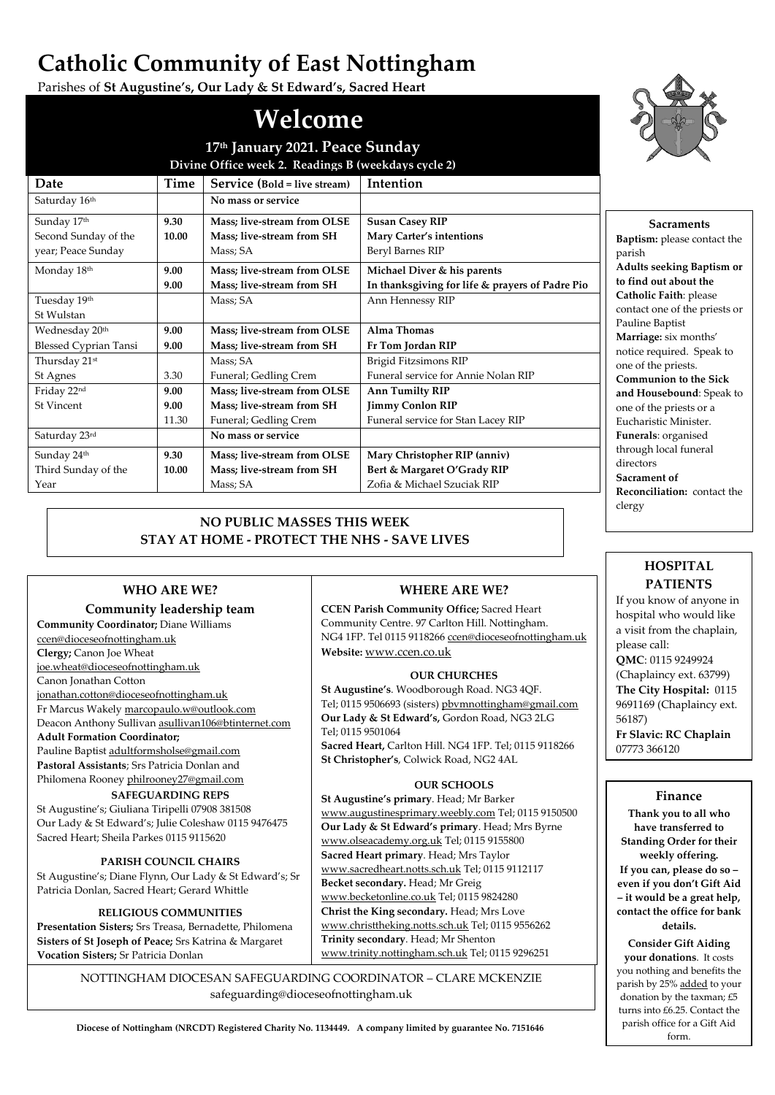# **Catholic Community of East Nottingham**

Parishes of **St Augustine's, Our Lady & St Edward's, Sacred Heart**

# **Welcome**

| 17th January 2021. Peace Sunday<br>Divine Office week 2. Readings B (weekdays cycle 2) |       |                             |                                                 |
|----------------------------------------------------------------------------------------|-------|-----------------------------|-------------------------------------------------|
|                                                                                        |       |                             |                                                 |
| Saturday 16th                                                                          |       | No mass or service          |                                                 |
| Sunday 17th                                                                            | 9.30  | Mass; live-stream from OLSE | <b>Susan Casey RIP</b>                          |
| Second Sunday of the                                                                   | 10.00 | Mass; live-stream from SH   | <b>Mary Carter's intentions</b>                 |
| year; Peace Sunday                                                                     |       | Mass; SA                    | Beryl Barnes RIP                                |
| Monday 18th                                                                            | 9.00  | Mass; live-stream from OLSE | Michael Diver & his parents                     |
|                                                                                        | 9.00  | Mass; live-stream from SH   | In thanksgiving for life & prayers of Padre Pio |
| Tuesday 19th                                                                           |       | Mass; SA                    | Ann Hennessy RIP                                |
| St Wulstan                                                                             |       |                             |                                                 |
| Wednesday 20th                                                                         | 9.00  | Mass; live-stream from OLSE | Alma Thomas                                     |
| <b>Blessed Cyprian Tansi</b>                                                           | 9.00  | Mass; live-stream from SH   | Fr Tom Jordan RIP                               |
| Thursday 21st                                                                          |       | Mass; SA                    | Brigid Fitzsimons RIP                           |
| St Agnes                                                                               | 3.30  | Funeral; Gedling Crem       | Funeral service for Annie Nolan RIP             |
| Friday 22nd                                                                            | 9.00  | Mass; live-stream from OLSE | <b>Ann Tumilty RIP</b>                          |
| <b>St Vincent</b>                                                                      | 9.00  | Mass; live-stream from SH   | <b>Jimmy Conlon RIP</b>                         |
|                                                                                        | 11.30 | Funeral; Gedling Crem       | Funeral service for Stan Lacey RIP              |
| Saturday 23rd                                                                          |       | No mass or service          |                                                 |
| Sunday 24th                                                                            | 9.30  | Mass; live-stream from OLSE | Mary Christopher RIP (anniv)                    |
| Third Sunday of the                                                                    | 10.00 | Mass; live-stream from SH   | Bert & Margaret O'Grady RIP                     |
| Year                                                                                   |       | Mass; SA                    | Zofia & Michael Szuciak RIP                     |

## **NO PUBLIC MASSES THIS WEEK STAY AT HOME - PROTECT THE NHS - SAVE LIVES**

### **WHO ARE WE?**

#### **Community leadership team**

**Community Coordinator;** Diane Williams [ccen@dioceseofnottingham.uk](mailto:ccen@dioceseofnottingham.uk) **Clergy;** Canon Joe Wheat

[joe.wheat@dioceseofnottingham.uk](mailto:joe.wheat@dioceseofnottingham.uk)

Canon Jonathan Cotton

[jonathan.cotton@dioceseofnottingham.uk](mailto:jonathan.cotton@dioceseofnottingham.uk) Fr Marcus Wakel[y marcopaulo.w@outlook.com](mailto:marcopaulo.w@outlook.com) Deacon Anthony Sullivan [asullivan106@btinternet.com](mailto:asullivan106@btinternet.com)

#### **Adult Formation Coordinator;**

Pauline Baptist [adultformsholse@gmail.com](mailto:adultformsholse@gmail.com) **Pastoral Assistants**; Srs Patricia Donlan and Philomena Roone[y philrooney27@gmail.com](mailto:philrooney27@gmail.com)

#### **SAFEGUARDING REPS**

St Augustine's; Giuliana Tiripelli 07908 381508 Our Lady & St Edward's; Julie Coleshaw 0115 9476475 Sacred Heart; Sheila Parkes 0115 9115620

#### **PARISH COUNCIL CHAIRS**

St Augustine's; Diane Flynn, Our Lady & St Edward's; Sr Patricia Donlan, Sacred Heart; Gerard Whittle

#### **RELIGIOUS COMMUNITIES**

**Presentation Sisters;** Srs Treasa, Bernadette, Philomena **Sisters of St Joseph of Peace;** Srs Katrina & Margaret **Vocation Sisters;** Sr Patricia Donlan

### **WHERE ARE WE?**

**CCEN Parish Community Office;** Sacred Heart Community Centre. 97 Carlton Hill. Nottingham. NG4 1FP. Tel 0115 9118266 [ccen@dioceseofnottingham.uk](mailto:ccen@dioceseofnottingham.uk) **Website:** [www.ccen.co.uk](http://www.ccen.co.uk/)

#### **OUR CHURCHES**

**St Augustine's**. Woodborough Road. NG3 4QF. Tel; 0115 9506693 (sisters[\) pbvmnottingham@gmail.com](mailto:pbvmnottingham@gmail.com) **Our Lady & St Edward's,** Gordon Road, NG3 2LG Tel; 0115 9501064

**Sacred Heart,** Carlton Hill. NG4 1FP. Tel; 0115 9118266 **St Christopher's**, Colwick Road, NG2 4AL

#### **OUR SCHOOLS**

**St Augustine's primary**. Head; Mr Barker [www.augustinesprimary.weebly.com](http://www.augustinesprimary.weebly.com/) Tel; 0115 9150500 **Our Lady & St Edward's primary**. Head; Mrs Byrne [www.olseacademy.org.uk](http://www.olseacademy.org.uk/) Tel; 0115 9155800 **Sacred Heart primary**. Head; Mrs Taylor [www.sacredheart.notts.sch.uk](http://www.sacredheart.notts.sch.uk/) Tel; 0115 9112117 **Becket secondary.** Head; Mr Greig [www.becketonline.co.uk](http://www.becketonline.co.uk/) Tel; 0115 9824280 **Christ the King secondary.** Head; Mrs Love [www.christtheking.notts.sch.uk](http://www.christtheking.notts.sch.uk/) Tel; 0115 9556262 **Trinity secondary**. Head; Mr Shenton [www.trinity.nottingham.sch.uk](http://www.trinity.nottingham.sch.uk/) Tel; 0115 9296251

NOTTINGHAM DIOCESAN SAFEGUARDING COORDINATOR – CLARE MCKENZIE safeguarding@dioceseofnottingham.uk



**Sacraments**

**Baptism:** please contact the parish **Adults seeking Baptism or to find out about the Catholic Faith**: please contact one of the priests or Pauline Baptist **Marriage:** six months' notice required. Speak to one of the priests. **Communion to the Sick and Housebound**: Speak to one of the priests or a Eucharistic Minister. **Funerals**: organised through local funeral directors **Sacrament of Reconciliation:** contact the clergy

# **HOSPITAL PATIENTS**

If you know of anyone in hospital who would like a visit from the chaplain, please call: **QMC**: 0115 9249924 (Chaplaincy ext. 63799) **The City Hospital:** 0115 9691169 (Chaplaincy ext. 56187) **Fr Slavic: RC Chaplain** 07773 366120

#### **Finance**

**Thank you to all who have transferred to Standing Order for their weekly offering. If you can, please do so – even if you don't Gift Aid – it would be a great help, contact the office for bank details.**

**Consider Gift Aiding your donations**. It costs you nothing and benefits the parish by 25% added to your donation by the taxman; £5 turns into £6.25. Contact the parish office for a Gift Aid form.

**Diocese of Nottingham (NRCDT) Registered Charity No. 1134449. A company limited by guarantee No. 7151646**